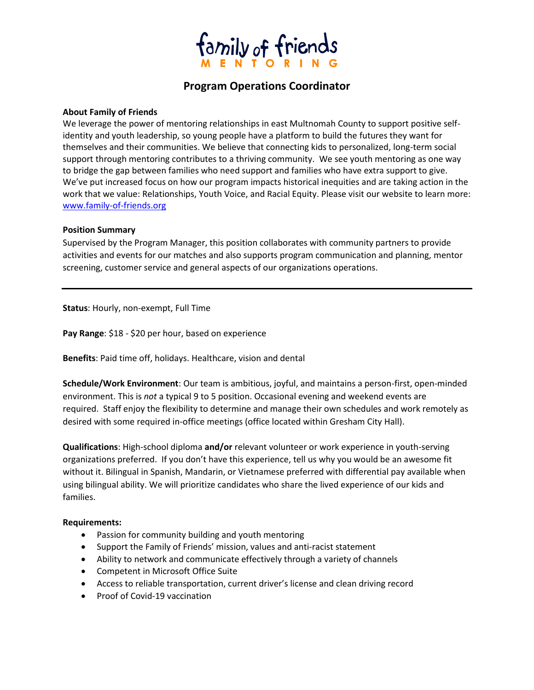

# **Program Operations Coordinator**

### **About Family of Friends**

We leverage the power of mentoring relationships in east Multnomah County to support positive selfidentity and youth leadership, so young people have a platform to build the futures they want for themselves and their communities. We believe that connecting kids to personalized, long-term social support through mentoring contributes to a thriving community. We see youth mentoring as one way to bridge the gap between families who need support and families who have extra support to give. We've put increased focus on how our program impacts historical inequities and are taking action in the work that we value: Relationships, Youth Voice, and Racial Equity. Please visit our website to learn more: www.family-of-friends.org

### **Position Summary**

Supervised by the Program Manager, this position collaborates with community partners to provide activities and events for our matches and also supports program communication and planning, mentor screening, customer service and general aspects of our organizations operations.

**Status**: Hourly, non-exempt, Full Time

**Pay Range**: \$18 - \$20 per hour, based on experience

**Benefits**: Paid time off, holidays. Healthcare, vision and dental

**Schedule/Work Environment**: Our team is ambitious, joyful, and maintains a person-first, open-minded environment. This is *not* a typical 9 to 5 position. Occasional evening and weekend events are required. Staff enjoy the flexibility to determine and manage their own schedules and work remotely as desired with some required in-office meetings (office located within Gresham City Hall).

**Qualifications**: High-school diploma **and/or** relevant volunteer or work experience in youth-serving organizations preferred. If you don't have this experience, tell us why you would be an awesome fit without it. Bilingual in Spanish, Mandarin, or Vietnamese preferred with differential pay available when using bilingual ability. We will prioritize candidates who share the lived experience of our kids and families.

#### **Requirements:**

- Passion for community building and youth mentoring
- Support the Family of Friends' mission, values and anti-racist statement
- Ability to network and communicate effectively through a variety of channels
- Competent in Microsoft Office Suite
- Access to reliable transportation, current driver's license and clean driving record
- Proof of Covid-19 vaccination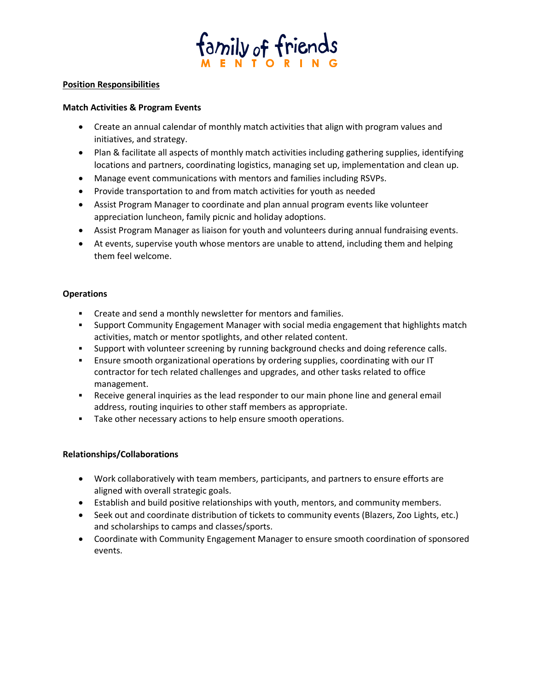

### **Position Responsibilities**

### **Match Activities & Program Events**

- Create an annual calendar of monthly match activities that align with program values and initiatives, and strategy.
- Plan & facilitate all aspects of monthly match activities including gathering supplies, identifying locations and partners, coordinating logistics, managing set up, implementation and clean up.
- Manage event communications with mentors and families including RSVPs.
- Provide transportation to and from match activities for youth as needed
- Assist Program Manager to coordinate and plan annual program events like volunteer appreciation luncheon, family picnic and holiday adoptions.
- Assist Program Manager as liaison for youth and volunteers during annual fundraising events.
- At events, supervise youth whose mentors are unable to attend, including them and helping them feel welcome.

### **Operations**

- Create and send a monthly newsletter for mentors and families.
- Support Community Engagement Manager with social media engagement that highlights match activities, match or mentor spotlights, and other related content.
- **•** Support with volunteer screening by running background checks and doing reference calls.
- Ensure smooth organizational operations by ordering supplies, coordinating with our IT contractor for tech related challenges and upgrades, and other tasks related to office management.
- **EXEC** Receive general inquiries as the lead responder to our main phone line and general email address, routing inquiries to other staff members as appropriate.
- **EXECT** Take other necessary actions to help ensure smooth operations.

## **Relationships/Collaborations**

- Work collaboratively with team members, participants, and partners to ensure efforts are aligned with overall strategic goals.
- Establish and build positive relationships with youth, mentors, and community members.
- Seek out and coordinate distribution of tickets to community events (Blazers, Zoo Lights, etc.) and scholarships to camps and classes/sports.
- Coordinate with Community Engagement Manager to ensure smooth coordination of sponsored events.